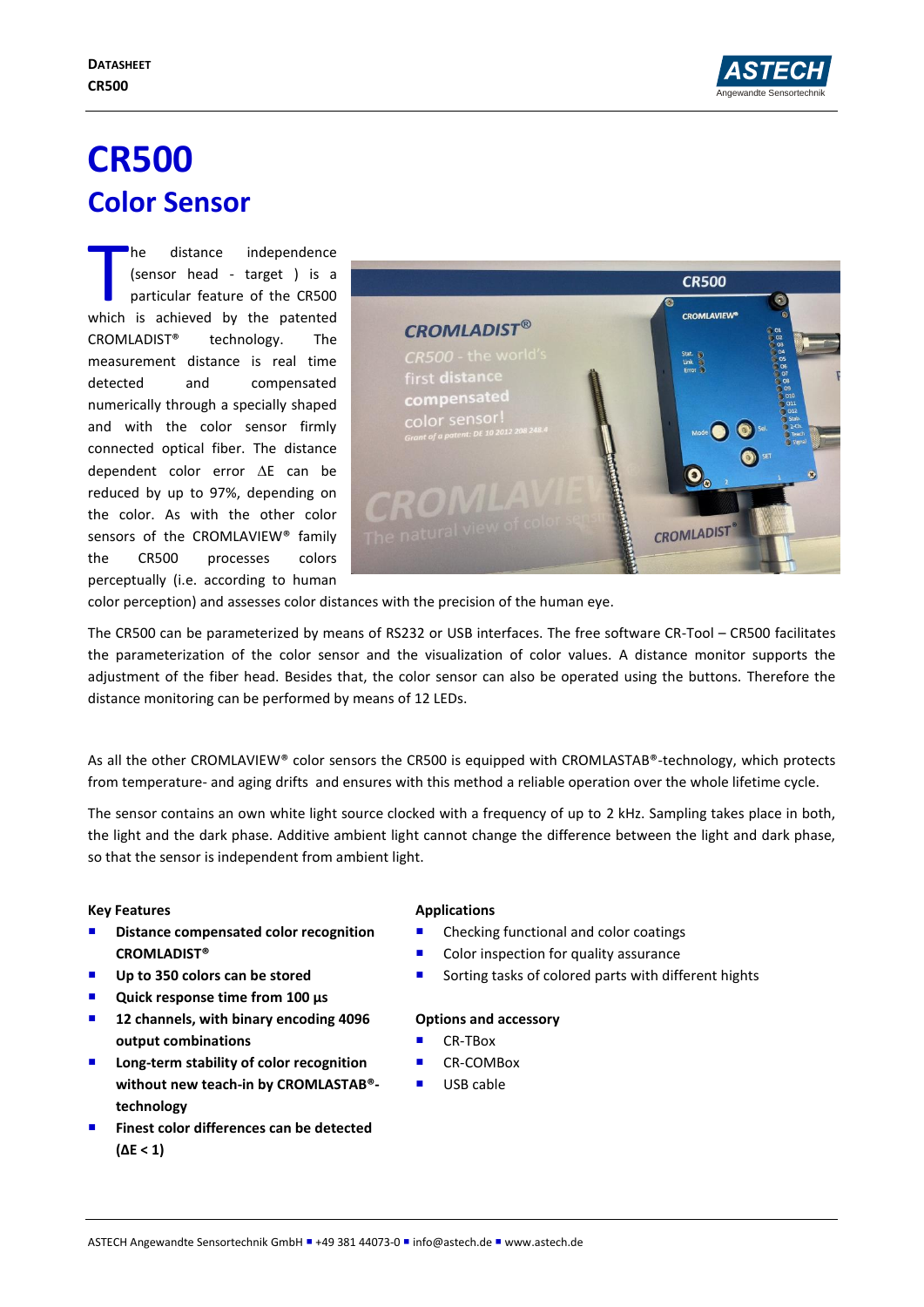

# **CR500 Color Sensor**

he distance independence (sensor head - target ) is a particular feature of the CR500 The distance independence<br>
(sensor head - target ) is a<br>
particular feature of the CR500<br>
which is achieved by the patented CROMLADIST® technology. The measurement distance is real time detected and compensated numerically through a specially shaped and with the color sensor firmly connected optical fiber. The distance dependent color error  $\Delta E$  can be reduced by up to 97%, depending on the color. As with the other color sensors of the CROMLAVIEW® family the CR500 processes colors perceptually (i.e. according to human



color perception) and assesses color distances with the precision of the human eye.

The CR500 can be parameterized by means of RS232 or USB interfaces. The free software CR-Tool – CR500 facilitates the parameterization of the color sensor and the visualization of color values. A distance monitor supports the adjustment of the fiber head. Besides that, the color sensor can also be operated using the buttons. Therefore the distance monitoring can be performed by means of 12 LEDs.

As all the other CROMLAVIEW® color sensors the CR500 is equipped with CROMLASTAB®-technology, which protects from temperature- and aging drifts and ensures with this method a reliable operation over the whole lifetime cycle.

The sensor contains an own white light source clocked with a frequency of up to 2 kHz. Sampling takes place in both, the light and the dark phase. Additive ambient light cannot change the difference between the light and dark phase, so that the sensor is independent from ambient light.

### **Key Features**

- Distance compensated color recognition **CROMLADIST®**
- Up to 350 colors can be stored
- Quick response time from 100 µs
- **12 channels, with binary encoding 4096 output combinations**
- **Long-term stability of color recognition without new teach-in by CROMLASTAB® technology**
- **Finest color differences can be detected (ΔE < 1)**

### **Applications**

- Checking functional and color coatings
- Color inspection for quality assurance
- Sorting tasks of colored parts with different hights

### **Options and accessory**

- CR-TBox
- CR-COMBox
- USB cable